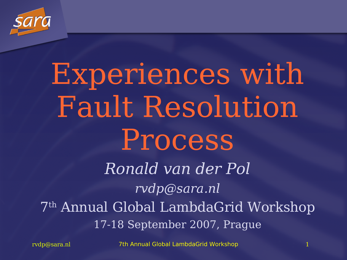

## Experiences with Fault Resolution Process

Ronald van der Pol rvdp@sara.nl 7 th Annual Global LambdaGrid Workshop 17-18 September 2007, Prague

rvdp@sara.nl 7th Annual Global LambdaGrid Workshop 1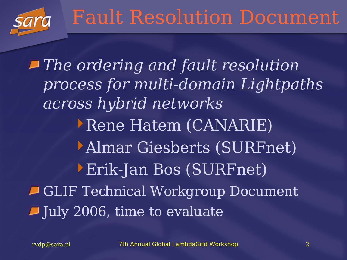The ordering and fault resolution process for multi-domain Lightpaths across hybrid networks Rene Hatem (CANARIE) Almar Giesberts (SURFnet) Erik-Jan Bos (SURFnet) GLIF Technical Workgroup Document July 2006, time to evaluate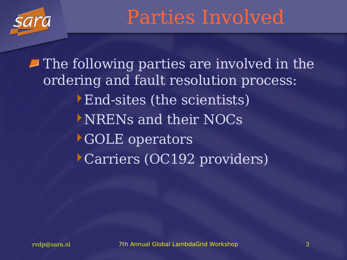

Parties Involved

 $\blacksquare$  The following parties are involved in the ordering and fault resolution process: End-sites (the scientists) NRENs and their NOCs GOLE operators Carriers (OC192 providers)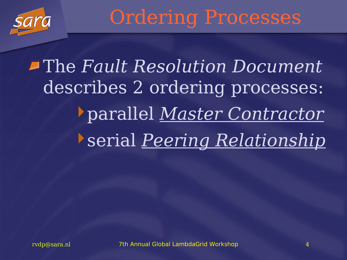

The Fault Resolution Document describes 2 ordering processes: parallel Master Contractor serial Peering Relationship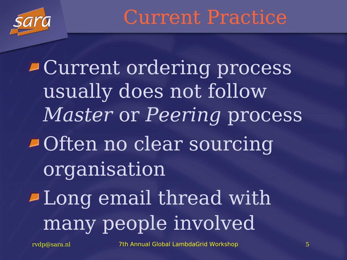

Current Practice

Current ordering process usually does not follow Master or Peering process Often no clear sourcing organisation Long email thread with many people involved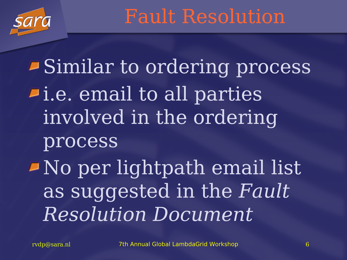

Fault Resolution

Similar to ordering process i.e. email to all parties involved in the ordering process No per lightpath email list as suggested in the Fault Resolution Document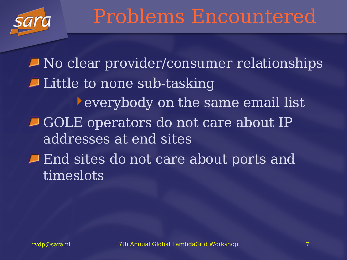

No clear provider/consumer relationships Little to none sub-tasking everybody on the same email list GOLE operators do not care about IP addresses at end sites **End sites do not care about ports and** timeslots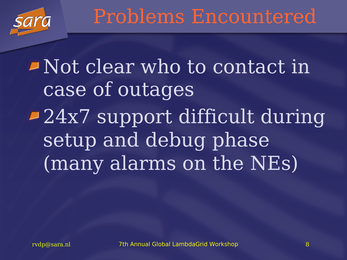

Not clear who to contact in case of outages 24x7 support difficult during setup and debug phase (many alarms on the NEs)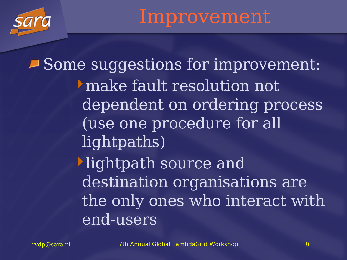## Improvement

Some suggestions for improvement: make fault resolution not dependent on ordering process (use one procedure for all lightpaths) lightpath source and destination organisations are the only ones who interact with end-users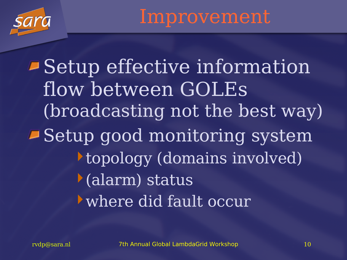

Improvement

Setup effective information flow between GOLEs (broadcasting not the best way) Setup good monitoring system topology (domains involved) (alarm) status where did fault occur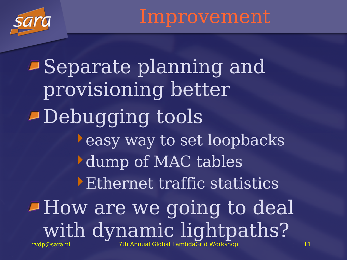

Improvement

rvdp@sara.nl 7th Annual Global LambdaGrid Workshop 11 Separate planning and provisioning better Debugging tools easy way to set loopbacks dump of MAC tables Ethernet traffic statistics **How are we going to deal** with dynamic lightpaths?